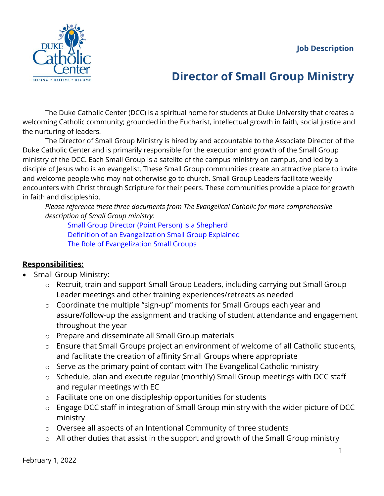

## **Director of Small Group Ministry**

The Duke Catholic Center (DCC) is a spiritual home for students at Duke University that creates a welcoming Catholic community; grounded in the Eucharist, intellectual growth in faith, social justice and the nurturing of leaders.

The Director of Small Group Ministry is hired by and accountable to the Associate Director of the Duke Catholic Center and is primarily responsible for the execution and growth of the Small Group ministry of the DCC. Each Small Group is a satelite of the campus ministry on campus, and led by a disciple of Jesus who is an evangelist. These Small Group communities create an attractive place to invite and welcome people who may not otherwise go to church. Small Group Leaders facilitate weekly encounters with Christ through Scripture for their peers. These communities provide a place for growth in faith and discipleship.

*Please reference these three documents from The Evangelical Catholic for more comprehensive description of Small Group ministry:*

[Small Group Director \(Point Person\) is a Shepherd](https://evangelicalcatholic.box.com/s/onj0bgzt74p5awfs3vo9e6flt67dijpk) [Definition of an Evangelization Small Group Explained](https://evangelicalcatholic.box.com/s/qbwviw27kkj0muk1dlukhp781okt716s) [The Role of Evangelization Small Groups](https://evangelicalcatholic.box.com/s/tzwiunap13o6a68l3g05ui95e2d0xkdz)

## **Responsibilities:**

- Small Group Ministry:
	- o Recruit, train and support Small Group Leaders, including carrying out Small Group Leader meetings and other training experiences/retreats as needed
	- o Coordinate the multiple "sign-up" moments for Small Groups each year and assure/follow-up the assignment and tracking of student attendance and engagement throughout the year
	- o Prepare and disseminate all Small Group materials
	- o Ensure that Small Groups project an environment of welcome of all Catholic students, and facilitate the creation of affinity Small Groups where appropriate
	- o Serve as the primary point of contact with The Evangelical Catholic ministry
	- o Schedule, plan and execute regular (monthly) Small Group meetings with DCC staff and regular meetings with EC
	- o Facilitate one on one discipleship opportunities for students
	- o Engage DCC staff in integration of Small Group ministry with the wider picture of DCC ministry
	- o Oversee all aspects of an Intentional Community of three students
	- o All other duties that assist in the support and growth of the Small Group ministry